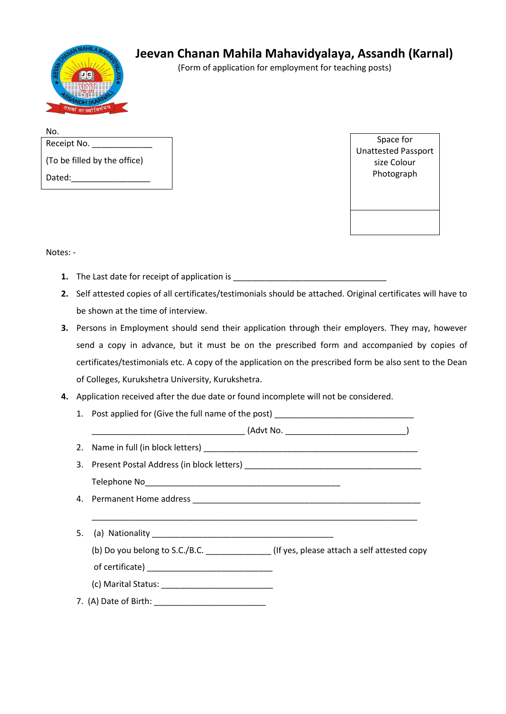

## **Jeevan Chanan Mahila Mahavidyalaya, Assandh (Karnal)**

(Form of application for employment for teaching posts)

| No.                          |  |
|------------------------------|--|
| Receipt No.                  |  |
| (To be filled by the office) |  |
| Dated:                       |  |

Space for Unattested Passport size Colour Photograph

Notes: -

- **1.** The Last date for receipt of application is \_\_\_\_\_\_\_\_\_\_\_\_\_\_\_\_\_\_\_\_\_\_\_\_\_\_\_\_\_\_\_\_
- **2.** Self attested copies of all certificates/testimonials should be attached. Original certificates will have to be shown at the time of interview.
- **3.** Persons in Employment should send their application through their employers. They may, however send a copy in advance, but it must be on the prescribed form and accompanied by copies of certificates/testimonials etc. A copy of the application on the prescribed form be also sent to the Dean of Colleges, Kurukshetra University, Kurukshetra.
- **4.** Application received after the due date or found incomplete will not be considered.
	- 1. Post applied for (Give the full name of the post)

\_\_\_\_\_\_\_\_\_\_\_\_\_\_\_\_\_\_\_\_\_\_\_\_\_\_\_\_\_\_\_\_\_ (Advt No. \_\_\_\_\_\_\_\_\_\_\_\_\_\_\_\_\_\_\_\_\_\_\_\_\_\_)

2. Name in full (in block letters) \_\_\_\_\_\_\_\_\_\_\_\_\_\_\_\_\_\_\_\_\_\_\_\_\_\_\_\_\_\_\_\_\_\_\_\_\_\_\_\_\_\_\_\_\_\_

- 3. Present Postal Address (in block letters) \_\_\_\_\_\_\_\_\_\_\_\_\_\_\_\_\_\_\_\_\_\_\_\_\_\_\_\_\_\_\_\_\_\_\_ Telephone No\_\_\_\_\_\_\_\_\_\_\_\_\_\_\_\_\_\_\_\_\_\_\_\_\_\_\_\_\_\_\_\_\_\_\_\_\_\_\_\_\_\_
- 4. Permanent Home address **and the set of the set of the set of the set of the set of the set of the set of the set of the set of the set of the set of the set of the set of the set of the set of the set of the set of the**
- 5. (a) Nationality \_\_\_\_\_\_\_\_\_\_\_\_\_\_\_\_\_\_\_\_\_\_\_\_\_\_\_\_\_\_\_\_\_\_\_\_\_\_\_ (b) Do you belong to S.C./B.C. \_\_\_\_\_\_\_\_\_\_\_\_\_\_ (If yes, please attach a self attested copy of certificate) \_\_\_\_\_\_\_\_\_\_\_\_\_\_\_\_\_\_\_\_\_\_\_\_\_\_\_ (c) Marital Status: \_\_\_\_\_\_\_\_\_\_\_\_\_\_\_\_\_\_\_\_\_\_\_\_ 7. (A) Date of Birth: \_\_\_\_\_\_\_\_\_\_\_\_\_\_\_\_\_\_\_\_\_\_\_\_

\_\_\_\_\_\_\_\_\_\_\_\_\_\_\_\_\_\_\_\_\_\_\_\_\_\_\_\_\_\_\_\_\_\_\_\_\_\_\_\_\_\_\_\_\_\_\_\_\_\_\_\_\_\_\_\_\_\_\_\_\_\_\_\_\_\_\_\_\_\_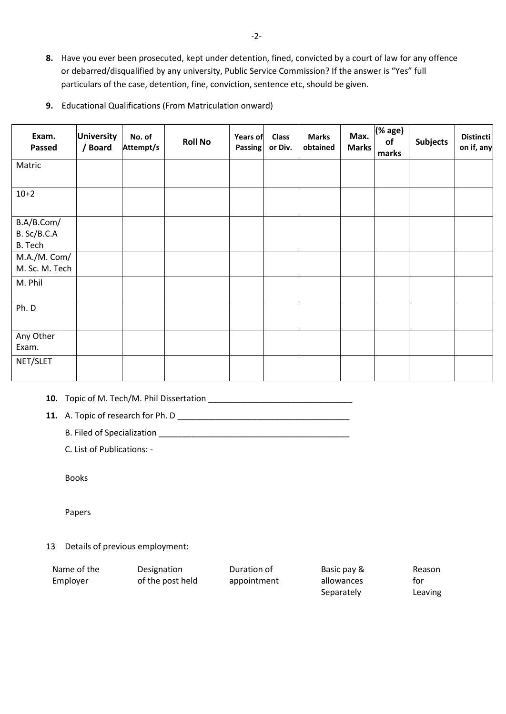- **8.** Have you ever been prosecuted, kept under detention, fined, convicted by a court of law for any offence or debarred/disqualified by any university, Public Service Commission? If the answer is "Yes" full particulars of the case, detention, fine, conviction, sentence etc, should be given.
- **9.** Educational Qualifications (From Matriculation onward)

| Exam.<br>Passed    | <b>University</b><br>/ Board | No. of<br>Attempt/s | <b>Roll No</b> | <b>Years of</b><br>Passing | <b>Class</b><br>or Div. | <b>Marks</b><br>obtained | Max.<br><b>Marks</b> | ( % age)<br>of<br>marks | <b>Subjects</b> | <b>Distincti</b><br>on if, any |
|--------------------|------------------------------|---------------------|----------------|----------------------------|-------------------------|--------------------------|----------------------|-------------------------|-----------------|--------------------------------|
| Matric             |                              |                     |                |                            |                         |                          |                      |                         |                 |                                |
| $10+2$             |                              |                     |                |                            |                         |                          |                      |                         |                 |                                |
| B.A/B.Com/         |                              |                     |                |                            |                         |                          |                      |                         |                 |                                |
| B. Sc/B.C.A        |                              |                     |                |                            |                         |                          |                      |                         |                 |                                |
| B. Tech            |                              |                     |                |                            |                         |                          |                      |                         |                 |                                |
| M.A./M. Com/       |                              |                     |                |                            |                         |                          |                      |                         |                 |                                |
| M. Sc. M. Tech     |                              |                     |                |                            |                         |                          |                      |                         |                 |                                |
| M. Phil            |                              |                     |                |                            |                         |                          |                      |                         |                 |                                |
| Ph. D              |                              |                     |                |                            |                         |                          |                      |                         |                 |                                |
| Any Other<br>Exam. |                              |                     |                |                            |                         |                          |                      |                         |                 |                                |
| NET/SLET           |                              |                     |                |                            |                         |                          |                      |                         |                 |                                |

**10.** Topic of M. Tech/M. Phil Dissertation \_\_\_\_\_\_\_\_\_\_\_\_\_\_\_\_\_\_\_\_\_\_\_\_\_\_\_\_\_\_\_

**11.** A. Topic of research for Ph. D

B. Filed of Specialization **Executive Section B.** Filed of Specialization

C. List of Publications: -

Books

Papers

13 Details of previous employment:

| Name of the | Designation      | Duration of | Basic pay & | Reason  |
|-------------|------------------|-------------|-------------|---------|
| Employer    | of the post held | appointment | allowances  | tor     |
|             |                  |             | Separately  | Leaving |